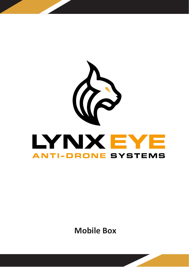

**Mobile Box**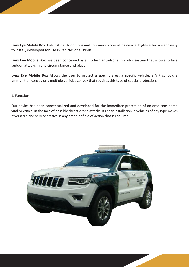**Lynx Eye Mobile Box**: Futuristic autonomous and continuous operating device, highly effective and easy to install, developed for use in vehicles of all kinds.

**Lynx Eye Mobile Box** has been conceived as a modern anti-drone inhibitor system that allows to face sudden attacks in any circumstance and place.

**Lynx Eye Mobile Box** Allows the user to protect a specific area, a specific vehicle, a VIP convoy, a ammunition convoy or a multiple vehicles convoy that requires this type of special protection.

## 1. Function

Our device has been conceptualized and developed for the immediate protection of an area considered vital or critical in the face of possible threat drone attacks. Its easy installation in vehicles of any type makes it versatile and very operative in any ambit or field of action that is required.